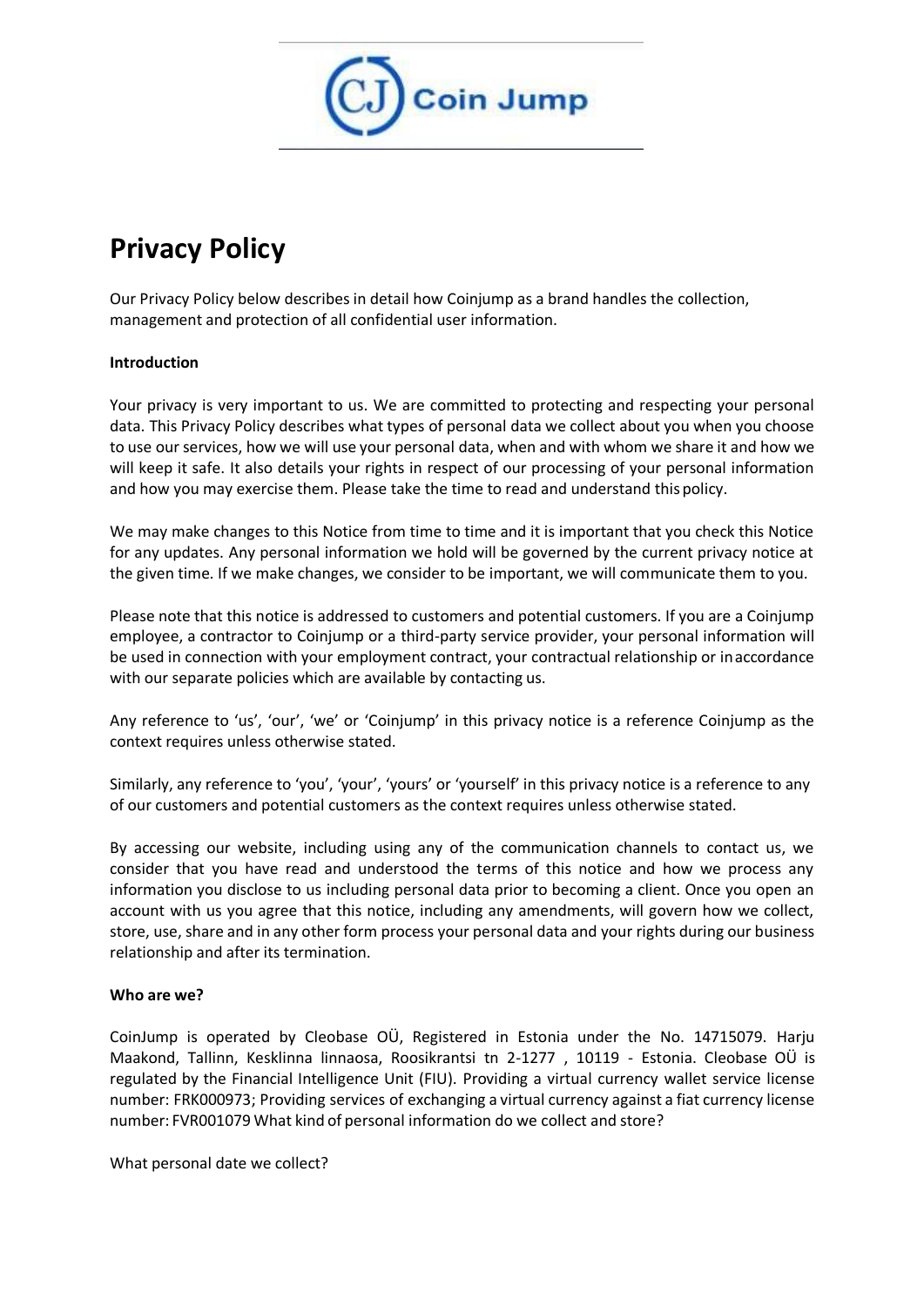

# **Privacy Policy**

Our Privacy Policy below describes in detail how Coinjump as a brand handles the collection, management and protection of all confidential user information.

### **Introduction**

Your privacy is very important to us. We are committed to protecting and respecting your personal data. This Privacy Policy describes what types of personal data we collect about you when you choose to use our services, how we will use your personal data, when and with whom we share it and how we will keep it safe. It also details your rights in respect of our processing of your personal information and how you may exercise them. Please take the time to read and understand this policy.

We may make changes to this Notice from time to time and it is important that you check this Notice for any updates. Any personal information we hold will be governed by the current privacy notice at the given time. If we make changes, we consider to be important, we will communicate them to you.

Please note that this notice is addressed to customers and potential customers. If you are a Coinjump employee, a contractor to Coinjump or a third-party service provider, your personal information will be used in connection with your employment contract, your contractual relationship or inaccordance with our separate policies which are available by contacting us.

Any reference to 'us', 'our', 'we' or 'Coinjump' in this privacy notice is a reference Coinjump as the context requires unless otherwise stated.

Similarly, any reference to 'you', 'your', 'yours' or 'yourself' in this privacy notice is a reference to any of our customers and potential customers as the context requires unless otherwise stated.

By accessing our website, including using any of the communication channels to contact us, we consider that you have read and understood the terms of this notice and how we process any information you disclose to us including personal data prior to becoming a client. Once you open an account with us you agree that this notice, including any amendments, will govern how we collect, store, use, share and in any other form process your personal data and your rights during our business relationship and after its termination.

### **Who are we?**

CoinJump is operated by Cleobase OÜ, Registered in Estonia under the No. 14715079. Harju Maakond, Tallinn, Kesklinna linnaosa, Roosikrantsi tn 2-1277 , 10119 - Estonia. Cleobase OÜ is regulated by the Financial Intelligence Unit (FIU). Providing a virtual currency wallet service license number: FRK000973; Providing services of exchanging a virtual currency against a fiat currency license number: FVR001079 What kind of personal information do we collect and store?

What personal date we collect?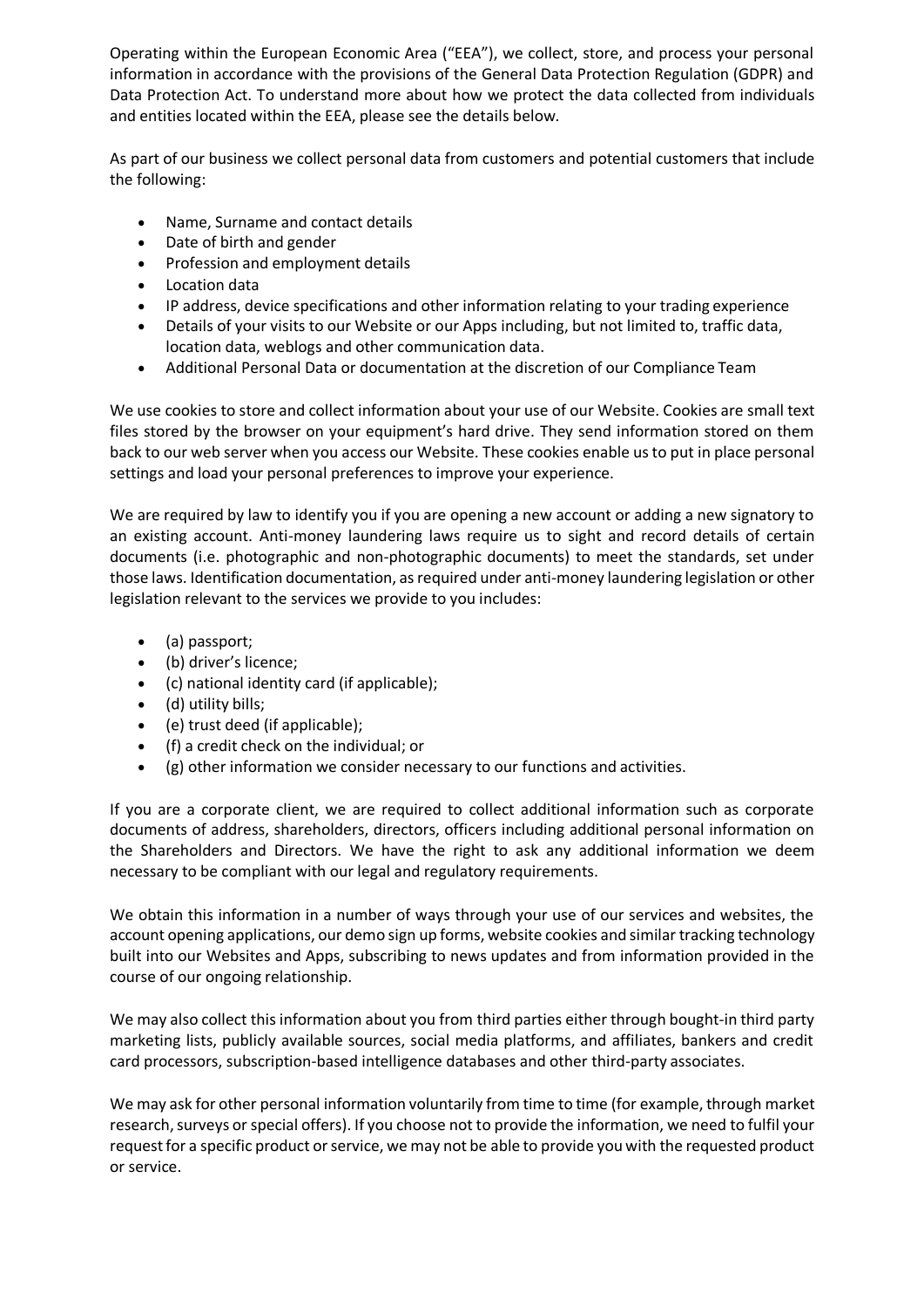Operating within the European Economic Area ("EEA"), we collect, store, and process your personal information in accordance with the provisions of the General Data Protection Regulation (GDPR) and Data Protection Act. To understand more about how we protect the data collected from individuals and entities located within the EEA, please see the details below.

As part of our business we collect personal data from customers and potential customers that include the following:

- Name, Surname and contact details
- Date of birth and gender
- Profession and employment details
- Location data
- IP address, device specifications and other information relating to your trading experience
- Details of your visits to our Website or our Apps including, but not limited to, traffic data, location data, weblogs and other communication data.
- Additional Personal Data or documentation at the discretion of our Compliance Team

We use cookies to store and collect information about your use of our Website. Cookies are small text files stored by the browser on your equipment's hard drive. They send information stored on them back to our web server when you access our Website. These cookies enable usto put in place personal settings and load your personal preferences to improve your experience.

We are required by law to identify you if you are opening a new account or adding a new signatory to an existing account. Anti-money laundering laws require us to sight and record details of certain documents (i.e. photographic and non-photographic documents) to meet the standards, set under those laws. Identification documentation, asrequired under anti-money laundering legislation or other legislation relevant to the services we provide to you includes:

- (a) passport;
- (b) driver's licence;
- (c) national identity card (if applicable);
- (d) utility bills;
- (e) trust deed (if applicable);
- (f) a credit check on the individual; or
- (g) other information we consider necessary to our functions and activities.

If you are a corporate client, we are required to collect additional information such as corporate documents of address, shareholders, directors, officers including additional personal information on the Shareholders and Directors. We have the right to ask any additional information we deem necessary to be compliant with our legal and regulatory requirements.

We obtain this information in a number of ways through your use of our services and websites, the account opening applications, our demo sign up forms, website cookies and similar tracking technology built into our Websites and Apps, subscribing to news updates and from information provided in the course of our ongoing relationship.

We may also collect this information about you from third parties either through bought-in third party marketing lists, publicly available sources, social media platforms, and affiliates, bankers and credit card processors, subscription-based intelligence databases and other third-party associates.

We may ask for other personal information voluntarily from time to time (for example, through market research, surveys or special offers). If you choose not to provide the information, we need to fulfil your request for a specific product or service, we may not be able to provide you with the requested product or service.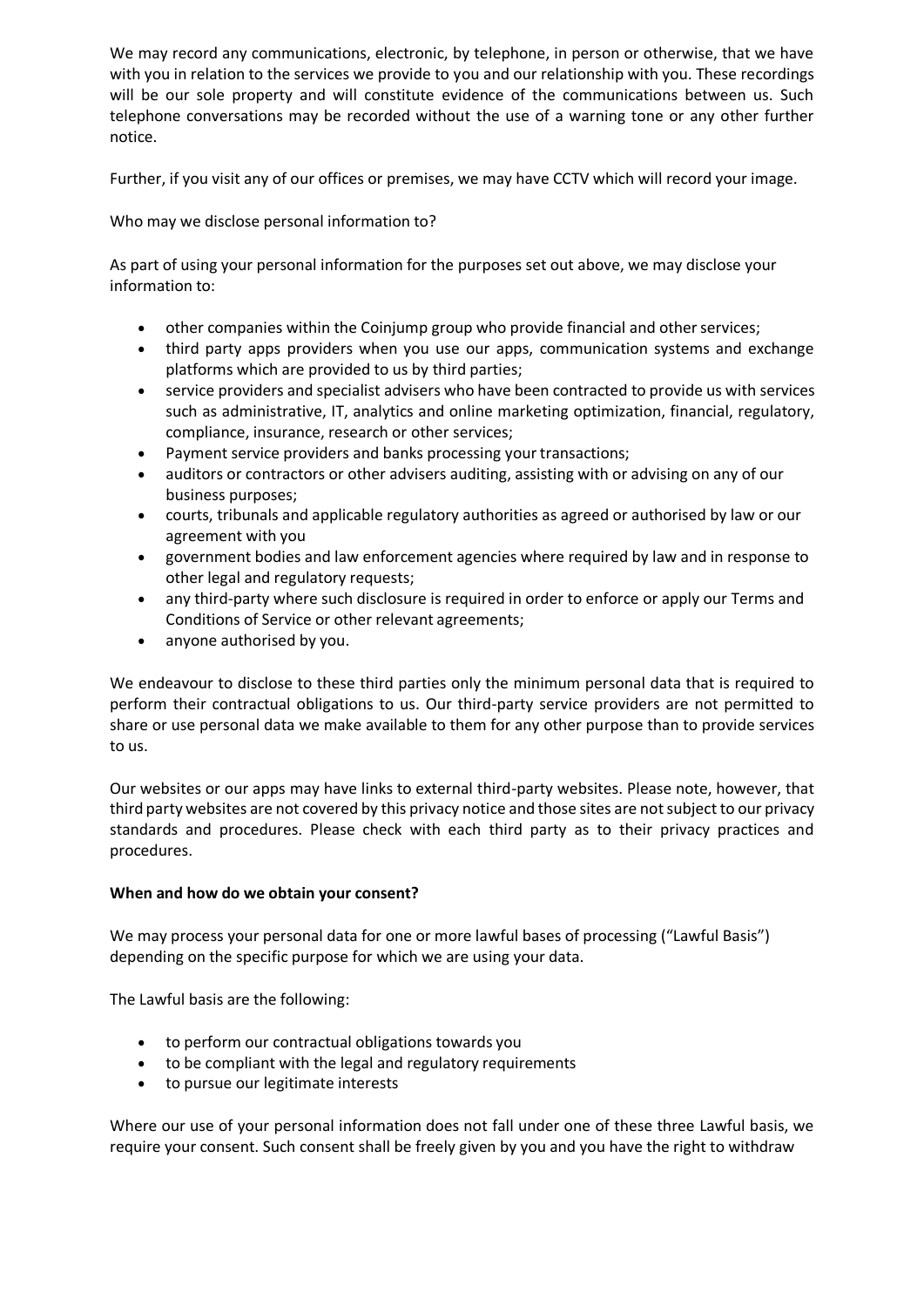We may record any communications, electronic, by telephone, in person or otherwise, that we have with you in relation to the services we provide to you and our relationship with you. These recordings will be our sole property and will constitute evidence of the communications between us. Such telephone conversations may be recorded without the use of a warning tone or any other further notice.

Further, if you visit any of our offices or premises, we may have CCTV which will record your image.

Who may we disclose personal information to?

As part of using your personal information for the purposes set out above, we may disclose your information to:

- other companies within the Coinjump group who provide financial and other services;
- third party apps providers when you use our apps, communication systems and exchange platforms which are provided to us by third parties;
- service providers and specialist advisers who have been contracted to provide us with services such as administrative, IT, analytics and online marketing optimization, financial, regulatory, compliance, insurance, research or other services;
- Payment service providers and banks processing your transactions;
- auditors or contractors or other advisers auditing, assisting with or advising on any of our business purposes;
- courts, tribunals and applicable regulatory authorities as agreed or authorised by law or our agreement with you
- government bodies and law enforcement agencies where required by law and in response to other legal and regulatory requests;
- any third-party where such disclosure is required in order to enforce or apply our Terms and Conditions of Service or other relevant agreements;
- anyone authorised by you.

We endeavour to disclose to these third parties only the minimum personal data that is required to perform their contractual obligations to us. Our third-party service providers are not permitted to share or use personal data we make available to them for any other purpose than to provide services to us.

Our websites or our apps may have links to external third-party websites. Please note, however, that third party websites are not covered by this privacy notice and those sites are notsubject to our privacy standards and procedures. Please check with each third party as to their privacy practices and procedures.

### **When and how do we obtain your consent?**

We may process your personal data for one or more lawful bases of processing ("Lawful Basis") depending on the specific purpose for which we are using your data.

The Lawful basis are the following:

- to perform our contractual obligations towards you
- to be compliant with the legal and regulatory requirements
- to pursue our legitimate interests

Where our use of your personal information does not fall under one of these three Lawful basis, we require your consent. Such consent shall be freely given by you and you have the right to withdraw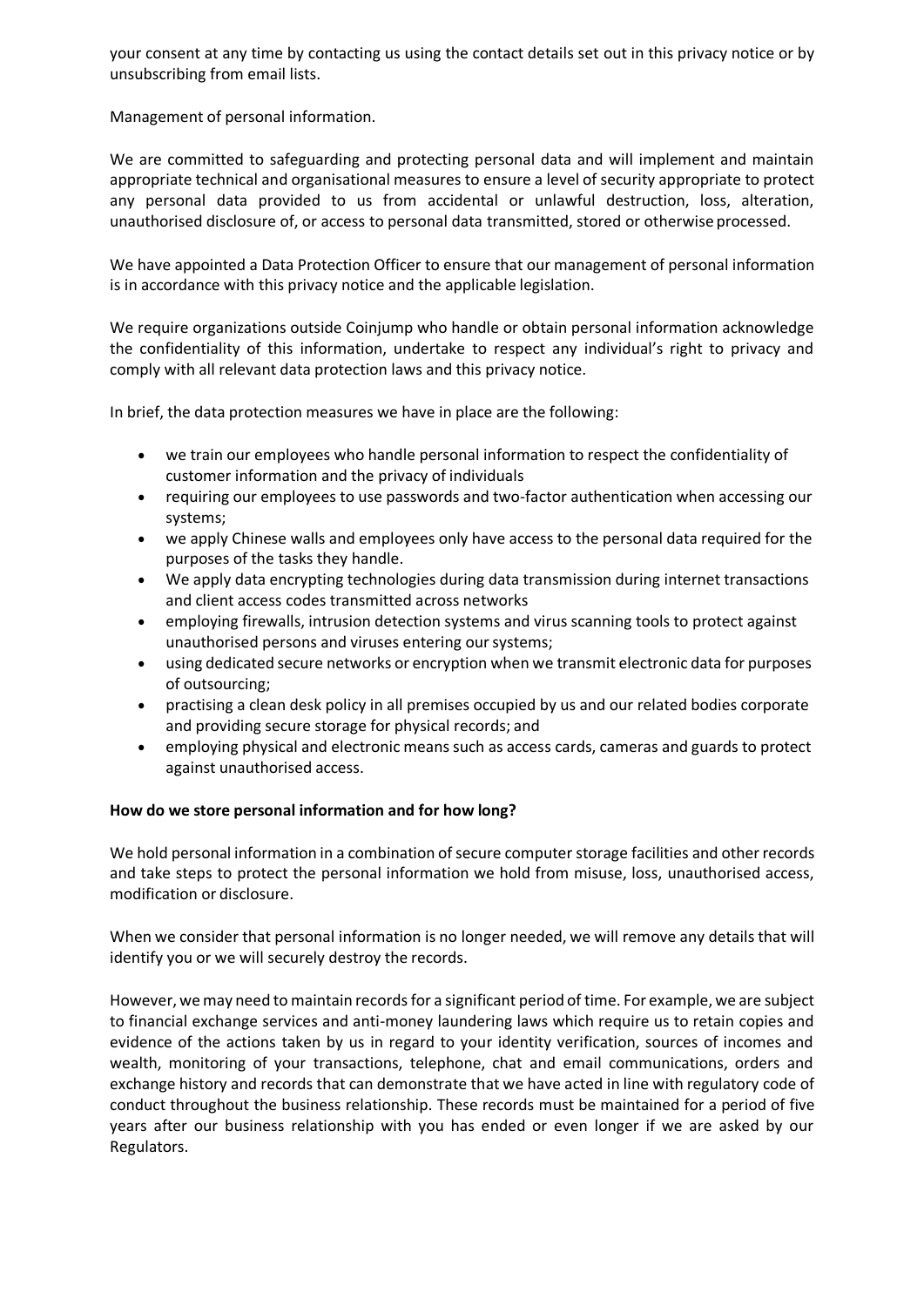your consent at any time by contacting us using the contact details set out in this privacy notice or by unsubscribing from email lists.

Management of personal information.

We are committed to safeguarding and protecting personal data and will implement and maintain appropriate technical and organisational measures to ensure a level of security appropriate to protect any personal data provided to us from accidental or unlawful destruction, loss, alteration, unauthorised disclosure of, or access to personal data transmitted, stored or otherwise processed.

We have appointed a Data Protection Officer to ensure that our management of personal information is in accordance with this privacy notice and the applicable legislation.

We require organizations outside Coinjump who handle or obtain personal information acknowledge the confidentiality of this information, undertake to respect any individual's right to privacy and comply with all relevant data protection laws and this privacy notice.

In brief, the data protection measures we have in place are the following:

- we train our employees who handle personal information to respect the confidentiality of customer information and the privacy of individuals
- requiring our employees to use passwords and two-factor authentication when accessing our systems;
- we apply Chinese walls and employees only have access to the personal data required for the purposes of the tasks they handle.
- We apply data encrypting technologies during data transmission during internet transactions and client access codes transmitted across networks
- employing firewalls, intrusion detection systems and virus scanning tools to protect against unauthorised persons and viruses entering our systems;
- using dedicated secure networks or encryption when we transmit electronic data for purposes of outsourcing;
- practising a clean desk policy in all premises occupied by us and our related bodies corporate and providing secure storage for physical records; and
- employing physical and electronic means such as access cards, cameras and guards to protect against unauthorised access.

### **How do we store personal information and for how long?**

We hold personal information in a combination of secure computer storage facilities and other records and take steps to protect the personal information we hold from misuse, loss, unauthorised access, modification or disclosure.

When we consider that personal information is no longer needed, we will remove any details that will identify you or we will securely destroy the records.

However, we may need to maintain records for a significant period of time. For example, we are subject to financial exchange services and anti-money laundering laws which require us to retain copies and evidence of the actions taken by us in regard to your identity verification, sources of incomes and wealth, monitoring of your transactions, telephone, chat and email communications, orders and exchange history and records that can demonstrate that we have acted in line with regulatory code of conduct throughout the business relationship. These records must be maintained for a period of five years after our business relationship with you has ended or even longer if we are asked by our Regulators.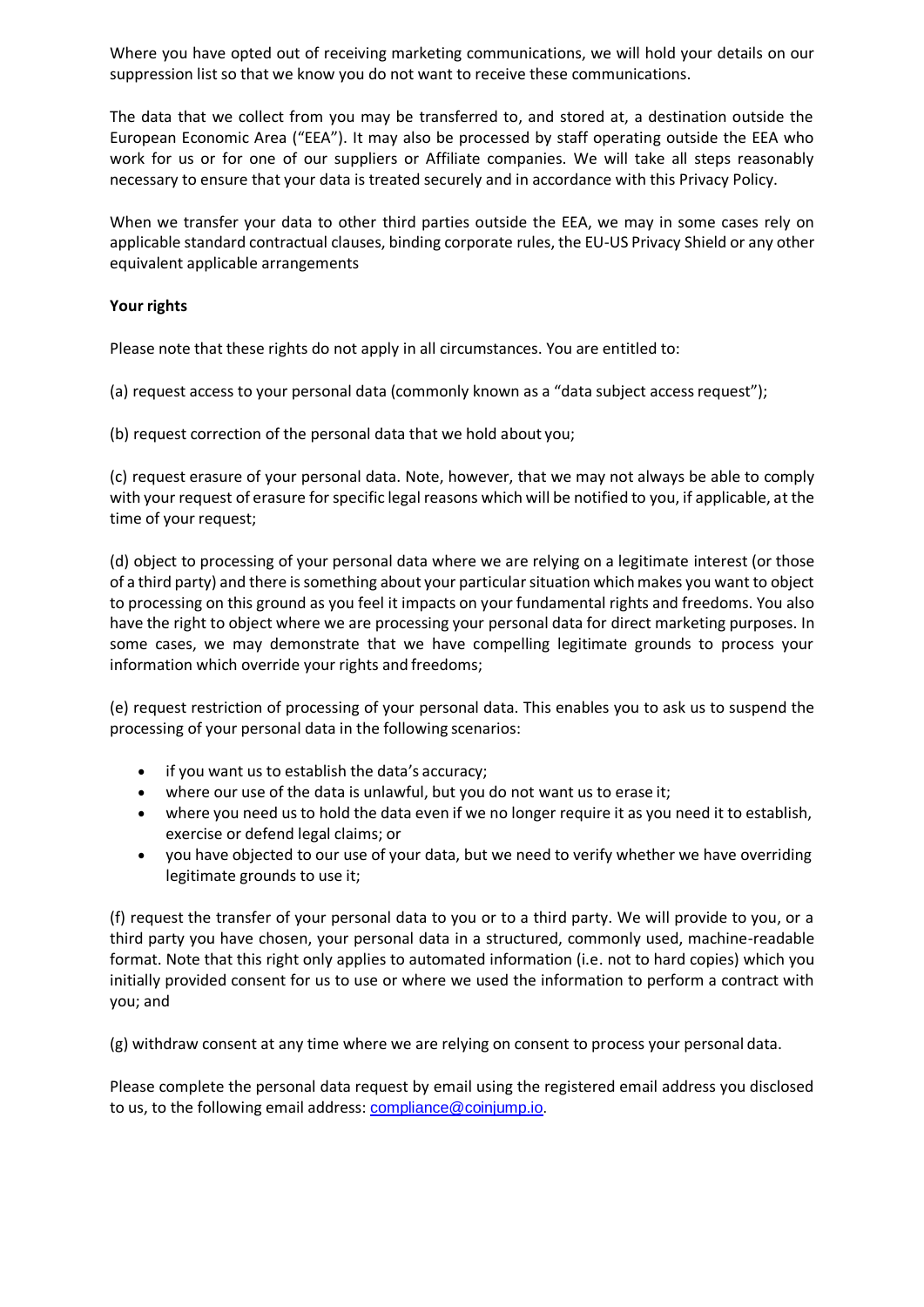Where you have opted out of receiving marketing communications, we will hold your details on our suppression list so that we know you do not want to receive these communications.

The data that we collect from you may be transferred to, and stored at, a destination outside the European Economic Area ("EEA"). It may also be processed by staff operating outside the EEA who work for us or for one of our suppliers or Affiliate companies. We will take all steps reasonably necessary to ensure that your data is treated securely and in accordance with this Privacy Policy.

When we transfer your data to other third parties outside the EEA, we may in some cases rely on applicable standard contractual clauses, binding corporate rules, the EU-US Privacy Shield or any other equivalent applicable arrangements

# **Your rights**

Please note that these rights do not apply in all circumstances. You are entitled to:

(a) request access to your personal data (commonly known as a "data subject accessrequest");

(b) request correction of the personal data that we hold about you;

(c) request erasure of your personal data. Note, however, that we may not always be able to comply with your request of erasure for specific legal reasons which will be notified to you, if applicable, at the time of your request;

(d) object to processing of your personal data where we are relying on a legitimate interest (or those of a third party) and there issomething about your particularsituation whichmakes you want to object to processing on this ground as you feel it impacts on your fundamental rights and freedoms. You also have the right to object where we are processing your personal data for direct marketing purposes. In some cases, we may demonstrate that we have compelling legitimate grounds to process your information which override your rights and freedoms;

(e) request restriction of processing of your personal data. This enables you to ask us to suspend the processing of your personal data in the following scenarios:

- if you want us to establish the data's accuracy;
- $\bullet$  where our use of the data is unlawful, but you do not want us to erase it:
- where you need us to hold the data even if we no longer require it as you need it to establish, exercise or defend legal claims; or
- you have objected to our use of your data, but we need to verify whether we have overriding legitimate grounds to use it;

(f) request the transfer of your personal data to you or to a third party. We will provide to you, or a third party you have chosen, your personal data in a structured, commonly used, machine-readable format. Note that this right only applies to automated information (i.e. not to hard copies) which you initially provided consent for us to use or where we used the information to perform a contract with you; and

(g) withdraw consent at any time where we are relying on consent to process your personal data.

Please complete the personal data request by email using the registered email address you disclosed to us, to the following email address: [compliance@coinjump.io](mailto:compliance@coinjump.io).